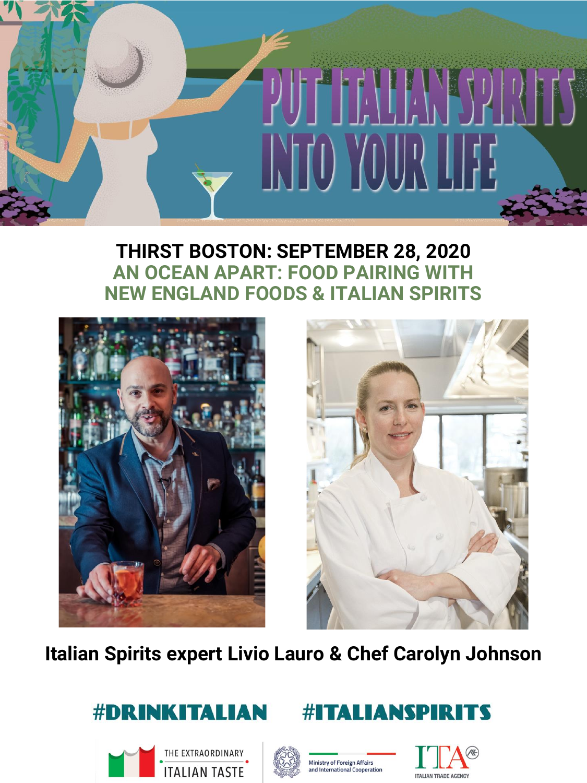

#### **THIRST BOSTON: SEPTEMBER 28, 2020 AN OCEAN APART: FOOD PAIRING WITH NEW ENGLAND FOODS & ITALIAN SPIRITS**





**Italian Spirits expert Livio Lauro & Chef Carolyn Johnson**











**#ITALIANSPIRITS**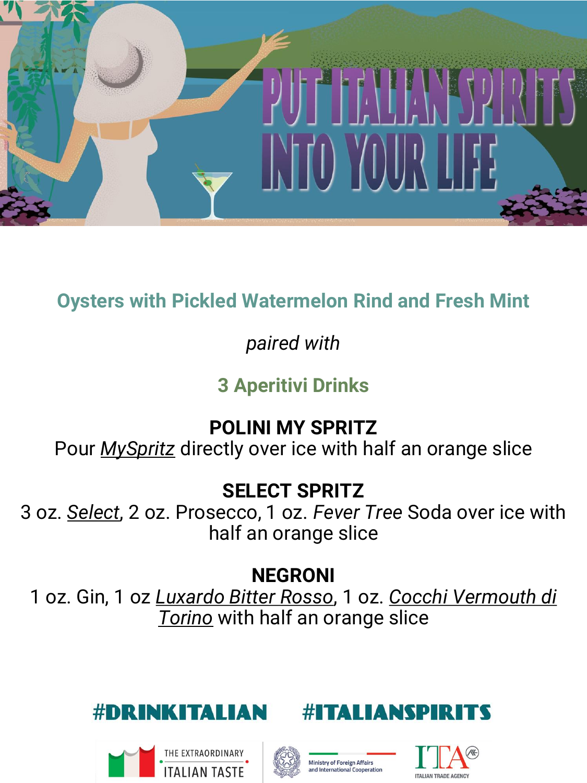

# **Oysters with Pickled Watermelon Rind and Fresh Mint**

# *paired with*

# **3 Aperitivi Drinks**

# **POLINI MY SPRITZ**

Pour *MySpritz* directly over ice with half an orange slice

#### **SELECT SPRITZ**

3 oz. *Select*, 2 oz. Prosecco, 1 oz. *Fever Tree* Soda over ice with half an orange slice

# **NEGRONI**

1 oz. Gin, 1 oz *Luxardo Bitter Rosso*, 1 oz. *Cocchi Vermouth di Torino* with half an orange slice









**ITALIANSPIR** 

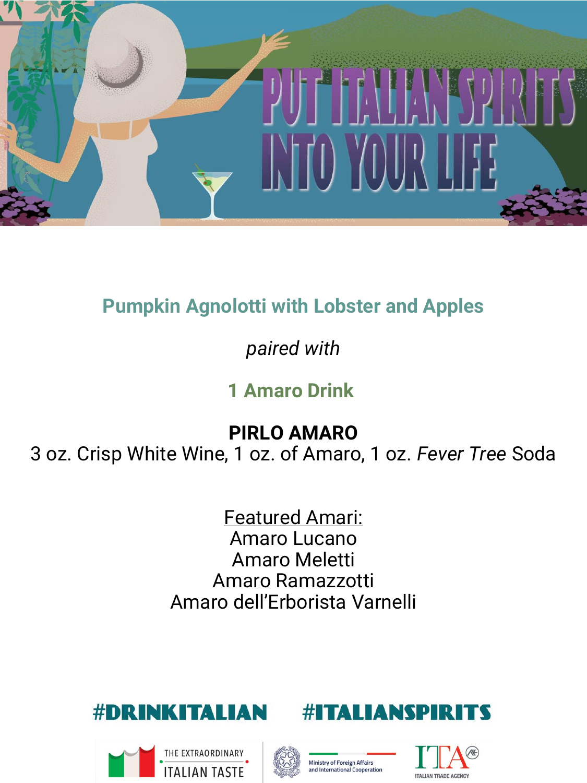

# **Pumpkin Agnolotti with Lobster and Apples**

# *paired with*

# **1 Amaro Drink**

**PIRLO AMARO**

3 oz. Crisp White Wine, 1 oz. of Amaro, 1 oz. *Fever Tree* Soda

Featured Amari: Amaro Lucano Amaro Meletti Amaro Ramazzotti Amaro dell'Erborista Varnelli







#1



**ITALIANSPII** 



R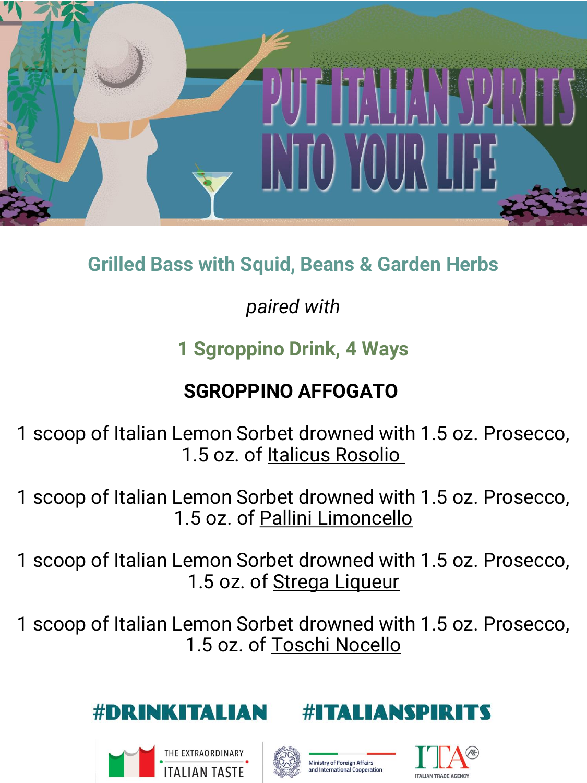

# **Grilled Bass with Squid, Beans & Garden Herbs**

# *paired with*

# **1 Sgroppino Drink, 4 Ways**

# **SGROPPINO AFFOGATO**

1 scoop of Italian Lemon Sorbet drowned with 1.5 oz. Prosecco, 1.5 oz. of Italicus Rosolio

1 scoop of Italian Lemon Sorbet drowned with 1.5 oz. Prosecco, 1.5 oz. of Pallini Limoncello

1 scoop of Italian Lemon Sorbet drowned with 1.5 oz. Prosecco, 1.5 oz. of **Strega Liqueur** 

1 scoop of Italian Lemon Sorbet drowned with 1.5 oz. Prosecco, 1.5 oz. of Toschi Nocello









*TALIANSPIR* 

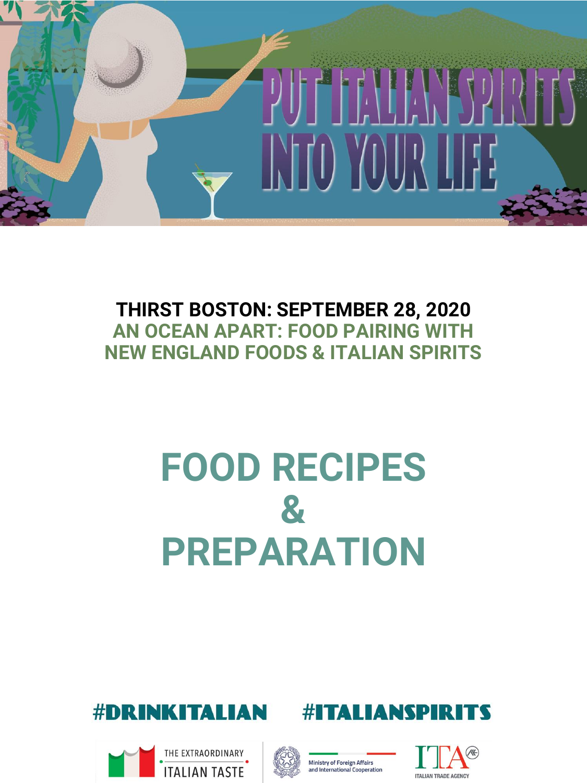

#### **THIRST BOSTON: SEPTEMBER 28, 2020 AN OCEAN APART: FOOD PAIRING WITH NEW ENGLAND FOODS & ITALIAN SPIRITS**

# **FOOD RECIPES & PREPARATION**











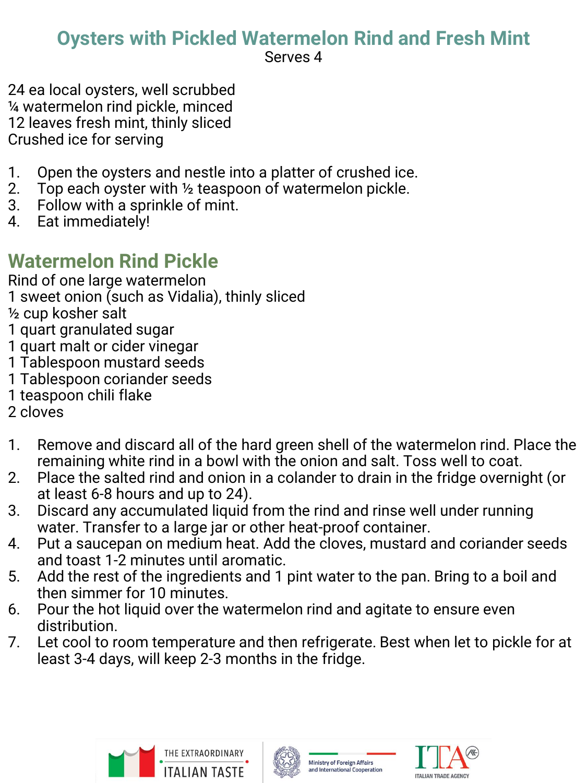# **Oysters with Pickled Watermelon Rind and Fresh Mint**

Serves 4

24 ea local oysters, well scrubbed ¼ watermelon rind pickle, minced 12 leaves fresh mint, thinly sliced Crushed ice for serving

- 1. Open the oysters and nestle into a platter of crushed ice.
- 2. Top each oyster with  $\frac{1}{2}$  teaspoon of watermelon pickle.
- 3. Follow with a sprinkle of mint.
- 4. Eat immediately!

# **Watermelon Rind Pickle**

Rind of one large watermelon

1 sweet onion (such as Vidalia), thinly sliced

½ cup kosher salt

- 1 quart granulated sugar
- 1 quart malt or cider vinegar
- 1 Tablespoon mustard seeds
- 1 Tablespoon coriander seeds
- 1 teaspoon chili flake
- 2 cloves
- 1. Remove and discard all of the hard green shell of the watermelon rind. Place the remaining white rind in a bowl with the onion and salt. Toss well to coat.
- 2. Place the salted rind and onion in a colander to drain in the fridge overnight (or at least 6-8 hours and up to 24).
- 3. Discard any accumulated liquid from the rind and rinse well under running water. Transfer to a large jar or other heat-proof container.
- 4. Put a saucepan on medium heat. Add the cloves, mustard and coriander seeds and toast 1-2 minutes until aromatic.
- 5. Add the rest of the ingredients and 1 pint water to the pan. Bring to a boil and then simmer for 10 minutes.
- 6. Pour the hot liquid over the watermelon rind and agitate to ensure even distribution.
- 7. Let cool to room temperature and then refrigerate. Best when let to pickle for at least 3-4 days, will keep 2-3 months in the fridge.





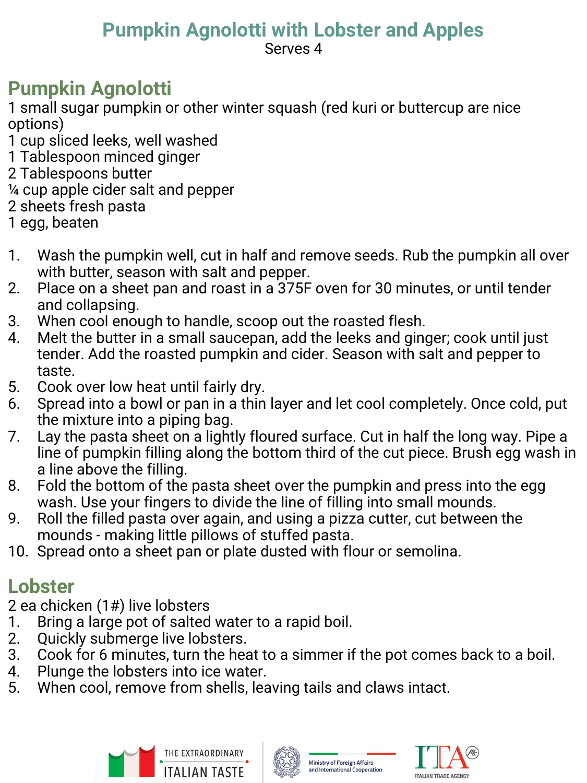#### **Pumpkin Agnolotti with Lobster and Apples** Serves 4

# **Pumpkin Agnolotti**

1 small sugar pumpkin or other winter squash (red kuri or buttercup are nice options)

- 1 cup sliced leeks, well washed
- 1 Tablespoon minced ginger
- 2 Tablespoons butter
- ¼ cup apple cider salt and pepper
- 2 sheets fresh pasta
- 1 egg, beaten
- 1. Wash the pumpkin well, cut in half and remove seeds. Rub the pumpkin all over with butter, season with salt and pepper.
- 2. Place on a sheet pan and roast in a 375F oven for 30 minutes, or until tender and collapsing.
- 3. When cool enough to handle, scoop out the roasted flesh.
- 4. Melt the butter in a small saucepan, add the leeks and ginger; cook until just tender. Add the roasted pumpkin and cider. Season with salt and pepper to taste.
- 5. Cook over low heat until fairly dry.
- 6. Spread into a bowl or pan in a thin layer and let cool completely. Once cold, put the mixture into a piping bag.
- 7. Lay the pasta sheet on a lightly floured surface. Cut in half the long way. Pipe a line of pumpkin filling along the bottom third of the cut piece. Brush egg wash in a line above the filling.
- 8. Fold the bottom of the pasta sheet over the pumpkin and press into the egg wash. Use your fingers to divide the line of filling into small mounds.
- 9. Roll the filled pasta over again, and using a pizza cutter, cut between the mounds - making little pillows of stuffed pasta.
- 10. Spread onto a sheet pan or plate dusted with flour or semolina.

# **Lobster**

2 ea chicken (1#) live lobsters

- 1. Bring a large pot of salted water to a rapid boil.
- 2. Quickly submerge live lobsters.
- 3. Cook for 6 minutes, turn the heat to a simmer if the pot comes back to a boil.
- 4. Plunge the lobsters into ice water.
- 5. When cool, remove from shells, leaving tails and claws intact.







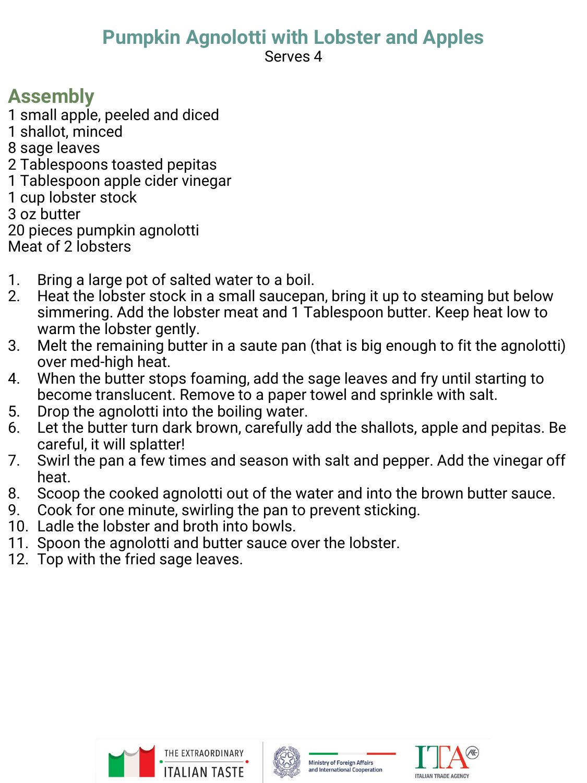# **Pumpkin Agnolotti with Lobster and Apples**

Serves 4

# **Assembly**

- 1 small apple, peeled and diced
- 1 shallot, minced
- 8 sage leaves
- 2 Tablespoons toasted pepitas
- 1 Tablespoon apple cider vinegar
- 1 cup lobster stock
- 3 oz butter
- 20 pieces pumpkin agnolotti
- Meat of 2 lobsters
- 1. Bring a large pot of salted water to a boil.
- 2. Heat the lobster stock in a small saucepan, bring it up to steaming but below simmering. Add the lobster meat and 1 Tablespoon butter. Keep heat low to warm the lobster gently.
- 3. Melt the remaining butter in a saute pan (that is big enough to fit the agnolotti) over med-high heat.
- 4. When the butter stops foaming, add the sage leaves and fry until starting to become translucent. Remove to a paper towel and sprinkle with salt.
- 5. Drop the agnolotti into the boiling water.
- 6. Let the butter turn dark brown, carefully add the shallots, apple and pepitas. Be careful, it will splatter!
- 7. Swirl the pan a few times and season with salt and pepper. Add the vinegar off heat.
- 8. Scoop the cooked agnolotti out of the water and into the brown butter sauce.
- 9. Cook for one minute, swirling the pan to prevent sticking.
- 10. Ladle the lobster and broth into bowls.
- 11. Spoon the agnolotti and butter sauce over the lobster.
- 12. Top with the fried sage leaves.





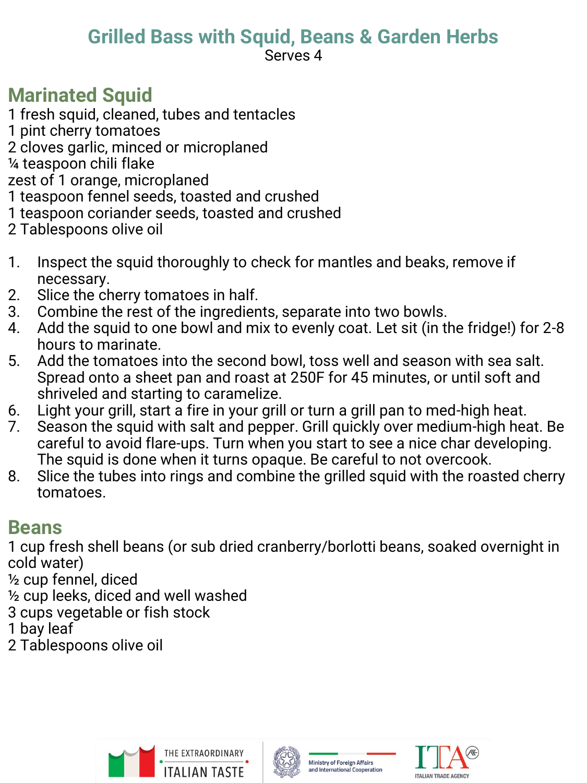# **Grilled Bass with Squid, Beans & Garden Herbs**

Serves 4

#### **Marinated Squid**

1 fresh squid, cleaned, tubes and tentacles

- 1 pint cherry tomatoes
- 2 cloves garlic, minced or microplaned
- ¼ teaspoon chili flake

zest of 1 orange, microplaned

- 1 teaspoon fennel seeds, toasted and crushed
- 1 teaspoon coriander seeds, toasted and crushed
- 2 Tablespoons olive oil
- 1. Inspect the squid thoroughly to check for mantles and beaks, remove if necessary.
- 2. Slice the cherry tomatoes in half.
- 3. Combine the rest of the ingredients, separate into two bowls.
- 4. Add the squid to one bowl and mix to evenly coat. Let sit (in the fridge!) for 2-8 hours to marinate.
- 5. Add the tomatoes into the second bowl, toss well and season with sea salt. Spread onto a sheet pan and roast at 250F for 45 minutes, or until soft and shriveled and starting to caramelize.
- 6. Light your grill, start a fire in your grill or turn a grill pan to med-high heat.
- 7. Season the squid with salt and pepper. Grill quickly over medium-high heat. Be careful to avoid flare-ups. Turn when you start to see a nice char developing. The squid is done when it turns opaque. Be careful to not overcook.
- 8. Slice the tubes into rings and combine the grilled squid with the roasted cherry tomatoes.

#### **Beans**

1 cup fresh shell beans (or sub dried cranberry/borlotti beans, soaked overnight in cold water)

½ cup fennel, diced

½ cup leeks, diced and well washed

3 cups vegetable or fish stock

1 bay leaf

2 Tablespoons olive oil





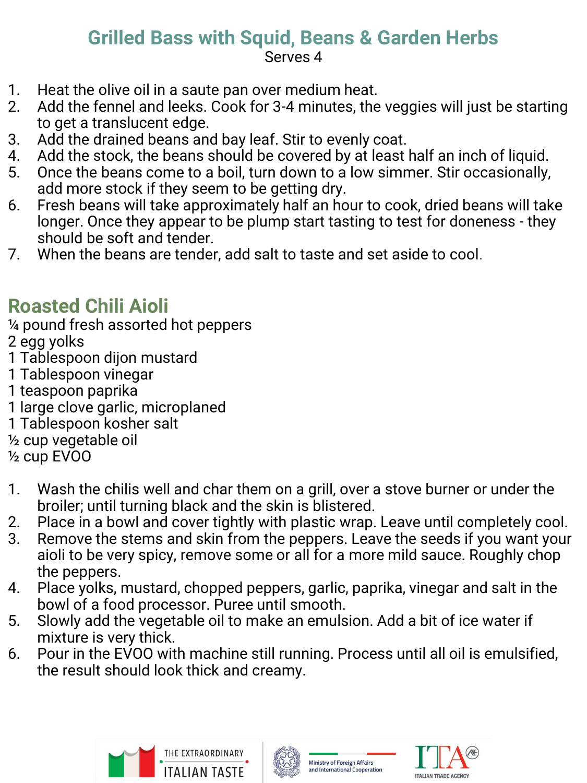#### **Grilled Bass with Squid, Beans & Garden Herbs** Serves 4

- 1. Heat the olive oil in a saute pan over medium heat.
- 2. Add the fennel and leeks. Cook for 3-4 minutes, the veggies will just be starting to get a translucent edge.
- 3. Add the drained beans and bay leaf. Stir to evenly coat.
- 4. Add the stock, the beans should be covered by at least half an inch of liquid.
- 5. Once the beans come to a boil, turn down to a low simmer. Stir occasionally, add more stock if they seem to be getting dry.
- 6. Fresh beans will take approximately half an hour to cook, dried beans will take longer. Once they appear to be plump start tasting to test for doneness - they should be soft and tender.
- 7. When the beans are tender, add salt to taste and set aside to cool.

# **Roasted Chili Aioli**

¼ pound fresh assorted hot peppers

- 2 egg yolks
- 1 Tablespoon dijon mustard
- 1 Tablespoon vinegar
- 1 teaspoon paprika
- 1 large clove garlic, microplaned
- 1 Tablespoon kosher salt
- ½ cup vegetable oil
- ½ cup EVOO
- 1. Wash the chilis well and char them on a grill, over a stove burner or under the broiler; until turning black and the skin is blistered.
- 2. Place in a bowl and cover tightly with plastic wrap. Leave until completely cool.
- 3. Remove the stems and skin from the peppers. Leave the seeds if you want your aioli to be very spicy, remove some or all for a more mild sauce. Roughly chop the peppers.
- 4. Place yolks, mustard, chopped peppers, garlic, paprika, vinegar and salt in the bowl of a food processor. Puree until smooth.
- 5. Slowly add the vegetable oil to make an emulsion. Add a bit of ice water if mixture is very thick.
- 6. Pour in the EVOO with machine still running. Process until all oil is emulsified, the result should look thick and creamy.